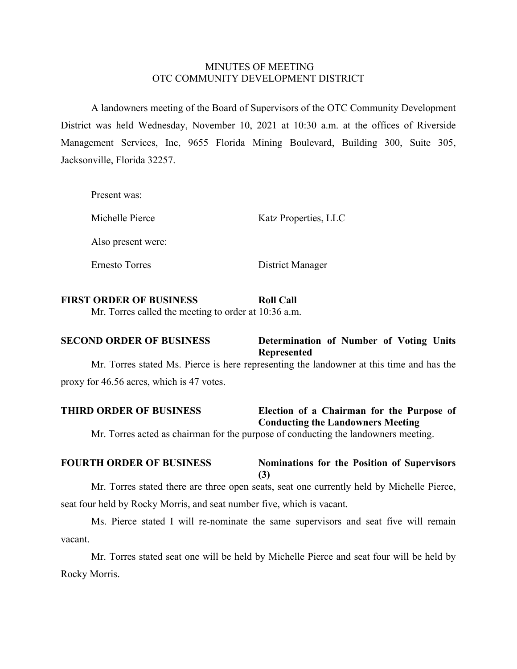## MINUTES OF MEETING OTC COMMUNITY DEVELOPMENT DISTRICT

A landowners meeting of the Board of Supervisors of the OTC Community Development District was held Wednesday, November 10, 2021 at 10:30 a.m. at the offices of Riverside Management Services, Inc, 9655 Florida Mining Boulevard, Building 300, Suite 305, Jacksonville, Florida 32257.

Present was: Michelle Pierce Katz Properties, LLC Also present were: Ernesto Torres District Manager

## **FIRST ORDER OF BUSINESS Roll Call**

Mr. Torres called the meeting to order at 10:36 a.m.

# **SECOND ORDER OF BUSINESS Determination of Number of Voting Units Represented**

Mr. Torres stated Ms. Pierce is here representing the landowner at this time and has the proxy for 46.56 acres, which is 47 votes.

# **THIRD ORDER OF BUSINESS Election of a Chairman for the Purpose of Conducting the Landowners Meeting**

Mr. Torres acted as chairman for the purpose of conducting the landowners meeting.

#### **FOURTH ORDER OF BUSINESS Nominations for the Position of Supervisors (3)**

Mr. Torres stated there are three open seats, seat one currently held by Michelle Pierce, seat four held by Rocky Morris, and seat number five, which is vacant.

Ms. Pierce stated I will re-nominate the same supervisors and seat five will remain vacant.

Mr. Torres stated seat one will be held by Michelle Pierce and seat four will be held by Rocky Morris.